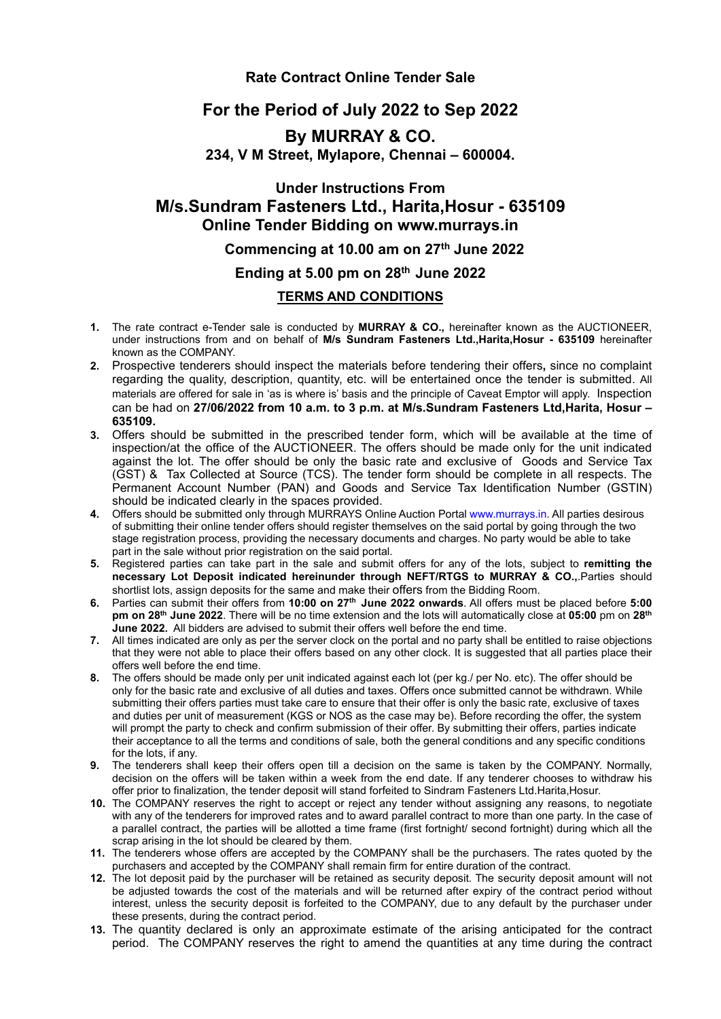#### **Rate Contract Online Tender Sale**

# **For the Period of July 2022 to Sep 2022**

# **By MURRAY & CO. 234, V M Street, Mylapore, Chennai – 600004.**

# **Under Instructions From M/s.Sundram Fasteners Ltd., Harita,Hosur - 635109 Online Tender Bidding on www.murrays.in**

### **Commencing at 10.00 am on 27 th June 2022**

## **Ending at 5.00 pm on 28 th June 2022**

#### **TERMS AND CONDITIONS**

- **1.** The rate contract e-Tender sale is conducted by **MURRAY & CO.,** hereinafter known as the AUCTIONEER, under instructions from and on behalf of **M/s Sundram Fasteners Ltd.,Harita,Hosur - 635109** hereinafter known as the COMPANY.
- **2.** Prospective tenderers should inspect the materials before tendering their offers**,** since no complaint regarding the quality, description, quantity, etc. will be entertained once the tender is submitted. All materials are offered for sale in 'as is where is'basis and the principle of Caveat Emptor will apply. Inspection can be had on **27/06/2022 from 10 a.m. to 3 p.m. at M/s.Sundram Fasteners Ltd,Harita,Hosur – 635109.**
- **3.** Offers should be submitted in the prescribed tender form, which will be available at the time of inspection/at the office of the AUCTIONEER. The offers should be made only for the unit indicated against the lot. The offer should be only the basic rate and exclusive of Goods and Service Tax (GST) & Tax Collected at Source (TCS). The tender form should be complete in all respects. The Permanent Account Number (PAN) and Goods and Service Tax Identification Number (GSTIN) should be indicated clearly in the spaces provided.
- 4. Offers should be submitted only through MURRAYS Online Auction Portal [www.murrays.in.](http://www.murrays.in/) All parties desirous of submitting their online tender offers should register themselves on the said portal by going through the two stage registration process, providing the necessary documents and charges. No party would be able to take part in the sale without prior registration on the said portal.
- **5.** Registered parties can take part in the sale and submit offers for any of the lots, subject to **remitting the necessary Lot Deposit indicated hereinunder through NEFT/RTGS to MURRAY & CO.,**.Parties should shortlist lots, assign deposits for the same and make their offers from the Bidding Room.
- **6.** Parties can submit their offers from **10:00 on 27 th June 2022 onwards**. All offers must be placed before **5:00 pm on 28 th June 2022**. There will be no time extension and the lots will automatically close at **05:00** pm on **28 th June 2022.** All bidders are advised to submit their offers well before the end time.
- **7.** All times indicated are only as per the server clock on the portal and no party shall be entitled to raise objections that they were notable to place their offers based on any other clock. It is suggested that all parties place their offers well before the end time.
- **8.** The offers should be made only per unit indicated against each lot (per kg./per No. etc). The offer should be only for the basic rate and exclusive of all duties and taxes. Offers once submitted cannot be withdrawn. While submitting their offers parties must take care to ensure that their offer is only the basic rate, exclusive of taxes and duties per unit of measurement (KGS or NOS as the case may be). Before recording the offer, the system will prompt the party to check and confirm submission of their offer. By submitting their offers, parties indicate their acceptance to all the terms and conditions of sale, both the general conditions and any specific conditions for the lots, if any.
- **9.** The tenderers shall keep their offers open till a decision on the same is taken by the COMPANY. Normally, decision on the offers will be taken within a week from the end date. If any tenderer chooses to withdraw his offer prior to finalization, the tender deposit will stand forfeited to Sindram Fasteners Ltd.Harita,Hosur.
- **10.** The COMPANY reserves the right to accept or reject any tender without assigning any reasons, to negotiate with any of the tenderers for improved rates and to award parallel contract to more than one party. In the case of a parallel contract, the parties will be allotted a time frame (first fortnight/ second fortnight) during which all the scrap arising in the lot should be cleared by them.
- **11.** The tenderers whose offers are accepted by the COMPANY shall be the purchasers. The rates quoted by the purchasers and accepted by the COMPANY shall remain firm for entire duration of the contract.
- **12.** The lot deposit paid by the purchaser will be retained as security deposit. The security deposit amount will not be adjusted towards the cost of the materials and will be returned after expiry of the contract period without interest, unless the security deposit is forfeited to the COMPANY, due to any default by the purchaser under these presents, during the contract period.
- **13.** The quantity declared is only an approximate estimate of the arising anticipated for the contract period. The COMPANY reserves the right to amend the quantities at any time during the contract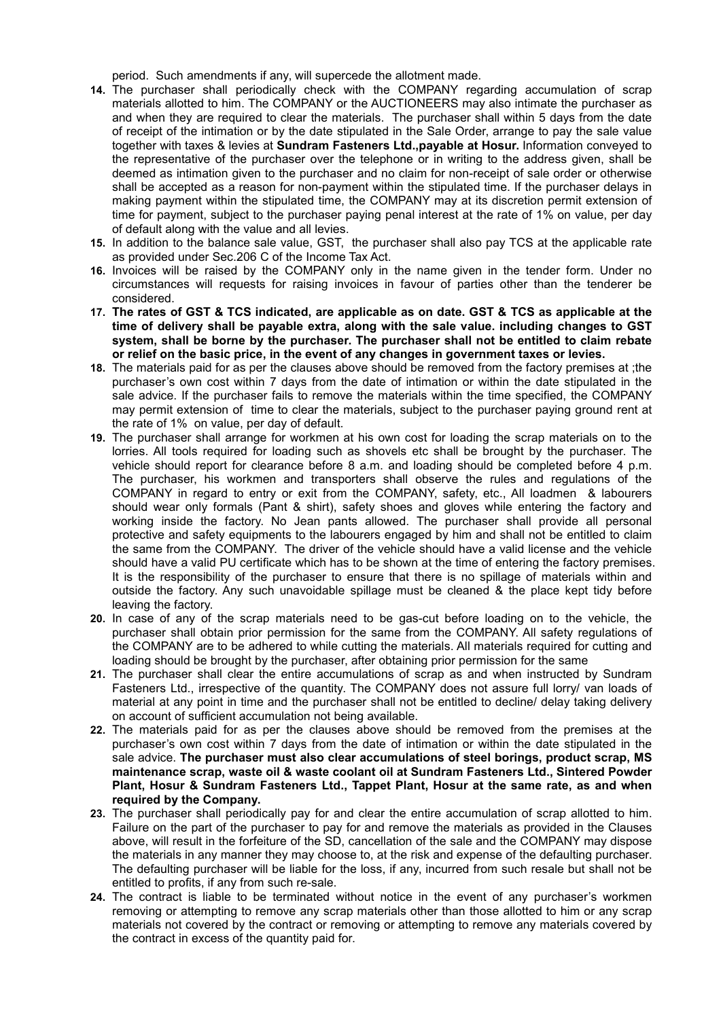period. Such amendments if any, will supercede the allotment made.

- **14.** The purchaser shall periodically check with the COMPANY regarding accumulation of scrap materials allotted to him. The COMPANY or the AUCTIONEERS may also intimate the purchaser as and when they are required to clear the materials. The purchaser shall within 5 days from the date of receipt of the intimation or by the date stipulated in the Sale Order, arrange to pay the sale value together with taxes & levies at **Sundram Fasteners Ltd.,payable at Hosur.** Information conveyed to the representative of the purchaser over the telephone or in writing to the address given, shall be deemed as intimation given to the purchaser and no claim for non-receipt of sale order or otherwise shall be accepted as a reason for non-payment within the stipulated time. If the purchaser delays in making payment within the stipulated time, the COMPANY may at its discretion permit extension of time for payment, subject to the purchaser paying penal interest at the rate of 1% on value, per day of default along with the value and all levies.
- **15.** In addition to the balance sale value, GST, the purchaser shall also pay TCS at the applicable rate as provided under Sec.206 C of the Income Tax Act.
- **16.** Invoices will be raised by the COMPANY only in the name given in the tender form. Under no circumstances will requests for raising invoices in favour of parties other than the tenderer be considered.
- 17. The rates of GST & TCS indicated, are applicable as on date. GST & TCS as applicable at the **time of delivery shall be payable extra, along with the sale value. including changes to GST system, shall be borne by the purchaser. The purchaser shall not be entitled to claim rebate or relief on the basic price, in the event of any changes in government taxes or levies.**
- **18.** The materials paid for as per the clauses above should be removed from the factory premises at ;the purchaser's own cost within 7 days from the date of intimation or within the date stipulated in the sale advice. If the purchaser fails to remove the materials within the time specified, the COMPANY may permit extension of time to clear the materials, subject to the purchaser paying ground rent at the rate of 1% on value, per day of default.
- **19.** The purchaser shall arrange for workmen at his own cost for loading the scrap materials on to the lorries. All tools required for loading such as shovels etc shall be brought by the purchaser. The vehicle should report for clearance before 8 a.m. and loading should be completed before 4 p.m. The purchaser, his workmen and transporters shall observe the rules and regulations of the COMPANY in regard to entry or exit from the COMPANY, safety, etc., All loadmen & labourers should wear only formals (Pant & shirt), safety shoes and gloves while entering the factory and working inside the factory. No Jean pants allowed.The purchaser shall provide all personal protective and safety equipments to the labourers engaged by him and shall not be entitled to claim the same from the COMPANY. The driver of the vehicle should have a valid license and the vehicle should have a valid PU certificate which has to be shown at the time of entering the factory premises. It is the responsibility of the purchaser to ensure that there is no spillage of materials within and outside the factory. Any such unavoidable spillage must be cleaned & the place kept tidy before leaving the factory.
- **20.** In case of any of the scrap materials need to be gas-cut before loading on to the vehicle, the purchaser shall obtain prior permission for the same from the COMPANY. All safety regulations of the COMPANY are to be adhered to while cutting the materials. All materials required for cutting and loading should be brought by the purchaser, after obtaining prior permission for the same
- **21.** The purchaser shall clear the entire accumulations of scrap as and when instructed by Sundram Fasteners Ltd., irrespective of the quantity. The COMPANY does not assure full lorry/ van loads of material at any point in time and the purchaser shall not be entitled to decline/ delay taking delivery on account of sufficient accumulation not being available.
- **22.** The materials paid for as per the clauses above should be removed from the premises at the purchaser's own cost within 7 days from the date of intimation or within the date stipulated in the sale advice. **The purchaser must also clear accumulations of steel borings, product scrap, MS maintenance scrap, waste oil & waste coolant oilat Sundram Fasteners Ltd., Sintered Powder Plant, Hosur & Sundram Fasteners Ltd., Tappet Plant, Hosur at the same rate, as and when required by the Company.**
- **23.** The purchaser shall periodically pay for and clear the entire accumulation of scrap allotted to him. Failure on the part of the purchaser to pay for and remove the materials as provided in the Clauses above, will result in the forfeiture of the SD, cancellation of the sale and the COMPANY may dispose the materials in any manner they may choose to, at the risk and expense of the defaulting purchaser. The defaulting purchaser will be liable for the loss, if any, incurred from such resale but shall not be entitled to profits, if any from such re-sale.
- **24.** The contract is liable to be terminated without notice in the event of any purchaser's workmen removing or attempting to remove any scrap materials other than those allotted to him or any scrap materials not covered by the contract or removing or attempting to remove any materials covered by the contract in excess of the quantity paid for.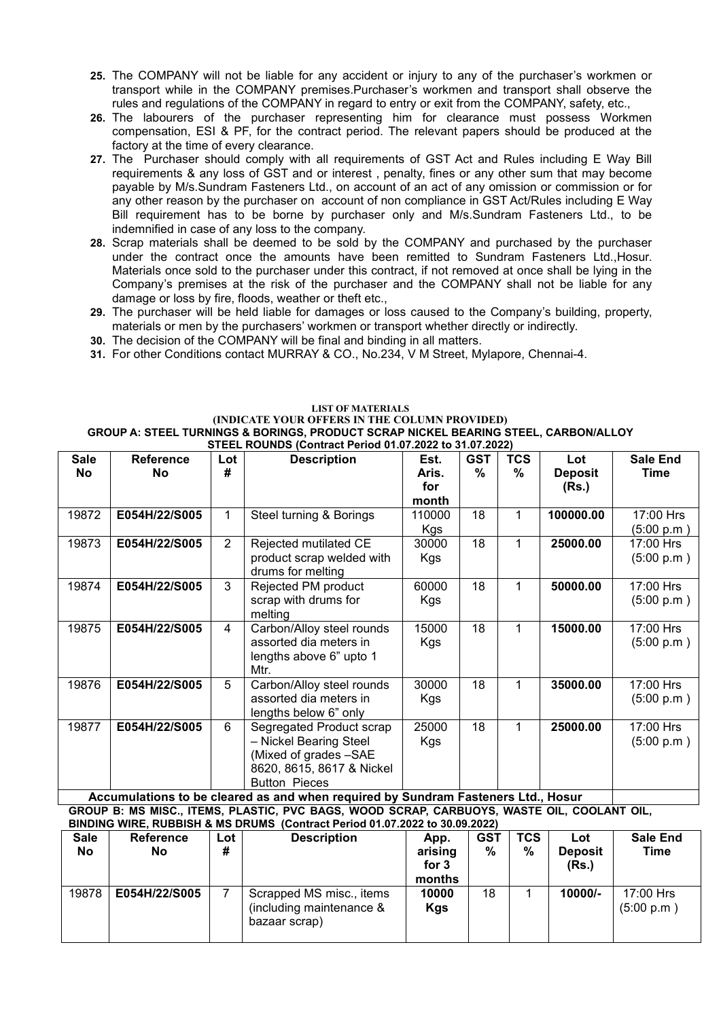- 25. The COMPANY will not be liable for any accident or injury to any of the purchaser's workmen or transport while in the COMPANY premises.Purchaser's workmen and transport shall observe the rules and regulations of the COMPANY in regard to entry or exit from the COMPANY, safety, etc.,
- **26.** The labourers of the purchaser representing him for clearance must possess Workmen compensation, ESI & PF, for the contract period. The relevant papers should be produced at the factory at the time of every clearance.
- **27.** The Purchaser should comply with all requirements of GST Act and Rules including E Way Bill requirements & any loss of GST and or interest , penalty, fines or any other sum that may become payable by M/s.Sundram Fasteners Ltd., on account of an act of any omission or commission or for any other reason by the purchaser on account of non compliance in GST Act/Rules including E Way Bill requirement has to be borne by purchaser only and M/s.Sundram Fasteners Ltd., to be indemnified in case of any loss to the company.
- 28. Scrap materials shall be deemed to be sold by the COMPANY and purchased by the purchaser under the contract once the amounts have been remitted to Sundram Fasteners Ltd., Hosur.<br>Materials once sold to the purchaser under this contract, if not removed at once shall be lying in the Company's premises at the risk of the purchaser and the COMPANY shall not be liable for any damage or loss by fire, floods, weather or theft etc.,
- 29. The purchaser will be held liable for damages or loss caused to the Company's building, property, materials or men by the purchasers' workmen or transport whether directly or indirectly.
- **30.** The decision of the COMPANY will be final and binding in all matters.
- **31.** For other Conditions contact MURRAY & CO., No.234, V M Street, Mylapore, Chennai-4.

#### **LIST OF MATERIALS (INDICATE YOUR OFFERS IN THE COLUMN PROVIDED) GROUP A: STEEL TURNINGS & BORINGS, PRODUCT SCRAP NICKEL BEARING STEEL, CARBON/ALLOY STEEL ROUNDS (Contract Period 01.07.2022 to 31.07.2022)**

| <b>Sale</b> | <b>Reference</b>                                                                              | Lot            | <b>Description</b>                                                                                                                                                                                                                                                                                                                                                        | Est.                  | <b>GST</b> | <b>TCS</b> | Lot                     | <b>Sale End</b>         |
|-------------|-----------------------------------------------------------------------------------------------|----------------|---------------------------------------------------------------------------------------------------------------------------------------------------------------------------------------------------------------------------------------------------------------------------------------------------------------------------------------------------------------------------|-----------------------|------------|------------|-------------------------|-------------------------|
| <b>No</b>   | No                                                                                            | #              |                                                                                                                                                                                                                                                                                                                                                                           | Aris.<br>for<br>month | %          | $\%$       | <b>Deposit</b><br>(Rs.) | Time                    |
| 19872       | E054H/22/S005                                                                                 |                | Steel turning & Borings                                                                                                                                                                                                                                                                                                                                                   | 110000<br>Kgs         | 18         | 1          | 100000.00               | 17:00 Hrs<br>(5:00 p.m) |
| 19873       | E054H/22/S005                                                                                 | $\overline{2}$ | Rejected mutilated CE<br>product scrap welded with<br>drums for melting                                                                                                                                                                                                                                                                                                   | 30000<br>Kgs          | 18         | 1          | 25000.00                | 17:00 Hrs<br>(5:00 p.m) |
| 19874       | E054H/22/S005                                                                                 | 3              | Rejected PM product<br>scrap with drums for<br>melting                                                                                                                                                                                                                                                                                                                    | 60000<br>Kgs          | 18         | 1          | 50000.00                | 17:00 Hrs<br>(5:00 p.m) |
| 19875       | E054H/22/S005                                                                                 | $\overline{4}$ | Carbon/Alloy steel rounds<br>assorted dia meters in<br>lengths above 6" upto 1<br>Mtr.                                                                                                                                                                                                                                                                                    | 15000<br>Kgs          | 18         | 1          | 15000.00                | 17:00 Hrs<br>(5:00 p.m) |
| 19876       | E054H/22/S005                                                                                 | 5              | Carbon/Alloy steel rounds<br>assorted dia meters in<br>lengths below 6" only                                                                                                                                                                                                                                                                                              | 30000<br>Kgs          | 18         | 1          | 35000.00                | 17:00 Hrs<br>(5:00 p.m) |
| 19877       | E054H/22/S005<br>As a consequent of the set of the set of the set of the set of $\mathcal{A}$ | 6              | Segregated Product scrap<br>- Nickel Bearing Steel<br>(Mixed of grades -SAE<br>8620, 8615, 8617 & Nickel<br><b>Button Pieces</b><br>also the contact through the contact and $\blacksquare$ is a contact of the contact of the contact of the contact of the contact of the contact of the contact of the contact of the contact of the contact of the contact of the con | 25000<br>Kgs          | 18         | 1          | 25000.00                | 17:00 Hrs<br>(5:00 p.m) |

**Accumulations to be cleared as and when required by Sundram Fasteners Ltd., Hosur GROUP B: MS MISC., ITEMS, PLASTIC, PVC BAGS, WOOD SCRAP, CARBUOYS, WASTE OIL, COOLANT OIL, BINDING WIRE, RUBBISH & MS DRUMS (Contract Period 01.07.2022 to 30.09.2022)**

| <b>Sale</b> | <b>Reference</b> | Lot ' | <b>Description</b>                                                    | App.                       | <b>GST</b> | <b>TCS</b> | Lot                     | <b>Sale End</b>         |  |
|-------------|------------------|-------|-----------------------------------------------------------------------|----------------------------|------------|------------|-------------------------|-------------------------|--|
| <b>No</b>   | No               | #     |                                                                       | arising<br>for 3<br>months | %          | $\%$       | <b>Deposit</b><br>(Rs.) | Time                    |  |
| 19878       | E054H/22/S005    |       | Scrapped MS misc., items<br>(including maintenance &<br>bazaar scrap) | 10000<br><b>Kgs</b>        | 18         |            | 10000/-                 | 17:00 Hrs<br>(5:00 p.m) |  |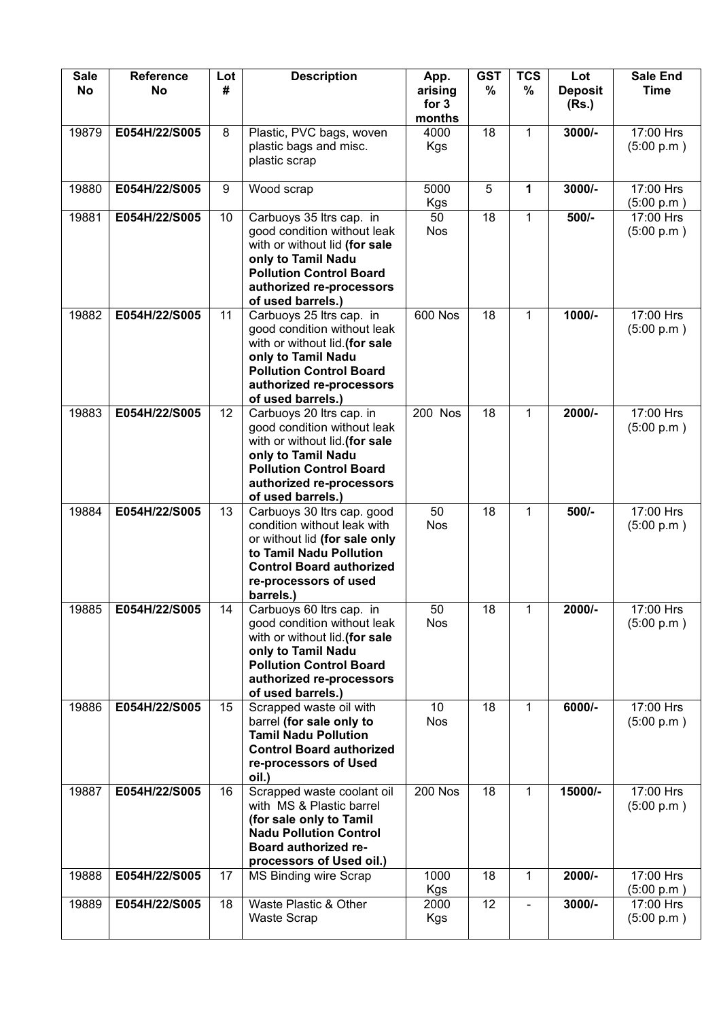| <b>Sale</b><br><b>No</b> | <b>Reference</b><br>No | Lot<br># | <b>Description</b>                                                                                                                                                                                 | App.<br>arising<br>for 3 | <b>GST</b><br>$\%$ | <b>TCS</b><br>% | Lot<br><b>Deposit</b><br>(Rs.) | <b>Sale End</b><br><b>Time</b> |  |
|--------------------------|------------------------|----------|----------------------------------------------------------------------------------------------------------------------------------------------------------------------------------------------------|--------------------------|--------------------|-----------------|--------------------------------|--------------------------------|--|
|                          |                        |          |                                                                                                                                                                                                    | months                   |                    |                 |                                |                                |  |
| 19879                    | E054H/22/S005          | 8        | Plastic, PVC bags, woven<br>plastic bags and misc.<br>plastic scrap                                                                                                                                | 4000<br>Kgs              | 18                 | $\mathbf{1}$    | 3000/-                         | 17:00 Hrs<br>(5:00 p.m.)       |  |
| 19880                    | E054H/22/S005          | 9        | Wood scrap                                                                                                                                                                                         | 5000<br>Kgs              | 5                  | 1               | $3000/-$                       | 17:00 Hrs<br>(5:00 p.m)        |  |
| 19881                    | E054H/22/S005          | 10       | Carbuoys 35 ltrs cap. in<br>good condition without leak<br>with or without lid (for sale<br>only to Tamil Nadu<br><b>Pollution Control Board</b><br>authorized re-processors<br>of used barrels.)  | 50<br><b>Nos</b>         | 18                 | $\mathbf{1}$    | 500/-                          | 17:00 Hrs<br>(5:00 p.m.)       |  |
| 19882                    | E054H/22/S005          | 11       | Carbuoys 25 ltrs cap. in<br>good condition without leak<br>with or without lid. (for sale<br>only to Tamil Nadu<br><b>Pollution Control Board</b><br>authorized re-processors<br>of used barrels.) | 600 Nos                  | 18                 | 1               | 1000/-                         | 17:00 Hrs<br>(5:00 p.m.)       |  |
| 19883                    | E054H/22/S005          | 12       | Carbuoys 20 ltrs cap. in<br>good condition without leak<br>with or without lid. (for sale<br>only to Tamil Nadu<br><b>Pollution Control Board</b><br>authorized re-processors<br>of used barrels.) | 200 Nos                  | 18                 | 1               | 2000/-                         | 17:00 Hrs<br>(5:00 p.m.)       |  |
| 19884                    | E054H/22/S005          | 13       | Carbuoys 30 ltrs cap. good<br>condition without leak with<br>or without lid (for sale only<br>to Tamil Nadu Pollution<br><b>Control Board authorized</b><br>re-processors of used<br>barrels.)     | 50<br><b>Nos</b>         | 18                 | 1               | 500/-                          | 17:00 Hrs<br>(5:00 p.m.)       |  |
| 19885                    | E054H/22/S005          | 14       | Carbuoys 60 ltrs cap. in<br>good condition without leak<br>with or without lid. (for sale<br>only to Tamil Nadu<br><b>Pollution Control Board</b><br>authorized re-processors<br>of used barrels.) | 50<br><b>Nos</b>         | 18                 | 1               | 2000/-                         | 17:00 Hrs<br>(5:00 p.m)        |  |
| 19886                    | E054H/22/S005          | 15       | Scrapped waste oil with<br>barrel (for sale only to<br><b>Tamil Nadu Pollution</b><br><b>Control Board authorized</b><br>re-processors of Used<br>oil.)                                            | 10<br><b>Nos</b>         | 18                 | 1               | 6000/-                         | 17:00 Hrs<br>(5:00 p.m.)       |  |
| 19887                    | E054H/22/S005          | 16       | Scrapped waste coolant oil<br>with MS & Plastic barrel<br>(for sale only to Tamil<br><b>Nadu Pollution Control</b><br>Board authorized re-<br>processors of Used oil.)                             | <b>200 Nos</b>           | 18                 | $\mathbf{1}$    | 15000/-                        | 17:00 Hrs<br>(5:00 p.m)        |  |
| 19888                    | E054H/22/S005          | 17       | MS Binding wire Scrap                                                                                                                                                                              | 1000<br>Kgs              | 18                 | 1               | 2000/-                         | 17:00 Hrs<br>(5:00 p.m)        |  |
| 19889                    | E054H/22/S005          | 18       | Waste Plastic & Other<br>Waste Scrap                                                                                                                                                               | 2000<br>Kgs              | 12                 | $\blacksquare$  | 3000/-                         | 17:00 Hrs<br>(5:00 p.m)        |  |